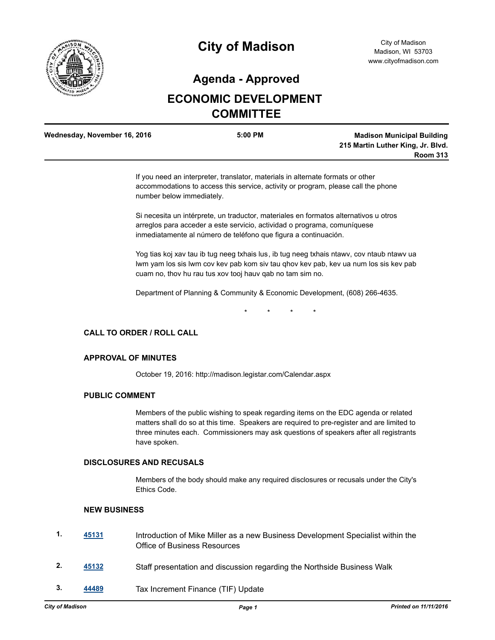

# **City of Madison**

### **Agenda - Approved**

## **ECONOMIC DEVELOPMENT COMMITTEE**

| Wednesday, November 16, 2016 | $5:00$ PM | <b>Madison Municipal Building</b> |
|------------------------------|-----------|-----------------------------------|
|                              |           | 215 Martin Luther King, Jr. Blvd. |
|                              |           | <b>Room 313</b>                   |

If you need an interpreter, translator, materials in alternate formats or other accommodations to access this service, activity or program, please call the phone number below immediately.

Si necesita un intérprete, un traductor, materiales en formatos alternativos u otros arreglos para acceder a este servicio, actividad o programa, comuníquese inmediatamente al número de teléfono que figura a continuación.

Yog tias koj xav tau ib tug neeg txhais lus, ib tug neeg txhais ntawv, cov ntaub ntawv ua lwm yam los sis lwm cov kev pab kom siv tau qhov kev pab, kev ua num los sis kev pab cuam no, thov hu rau tus xov tooj hauv qab no tam sim no.

Department of Planning & Community & Economic Development, (608) 266-4635.

\* \* \* \*

#### **CALL TO ORDER / ROLL CALL**

#### **APPROVAL OF MINUTES**

October 19, 2016: http://madison.legistar.com/Calendar.aspx

#### **PUBLIC COMMENT**

Members of the public wishing to speak regarding items on the EDC agenda or related matters shall do so at this time. Speakers are required to pre-register and are limited to three minutes each. Commissioners may ask questions of speakers after all registrants have spoken.

#### **DISCLOSURES AND RECUSALS**

Members of the body should make any required disclosures or recusals under the City's Ethics Code.

#### **NEW BUSINESS**

| 1. | 45131 | Introduction of Mike Miller as a new Business Development Specialist within the<br><b>Office of Business Resources</b> |
|----|-------|------------------------------------------------------------------------------------------------------------------------|
| 2. | 45132 | Staff presentation and discussion regarding the Northside Business Walk                                                |
| 3. | 44489 | Tax Increment Finance (TIF) Update                                                                                     |